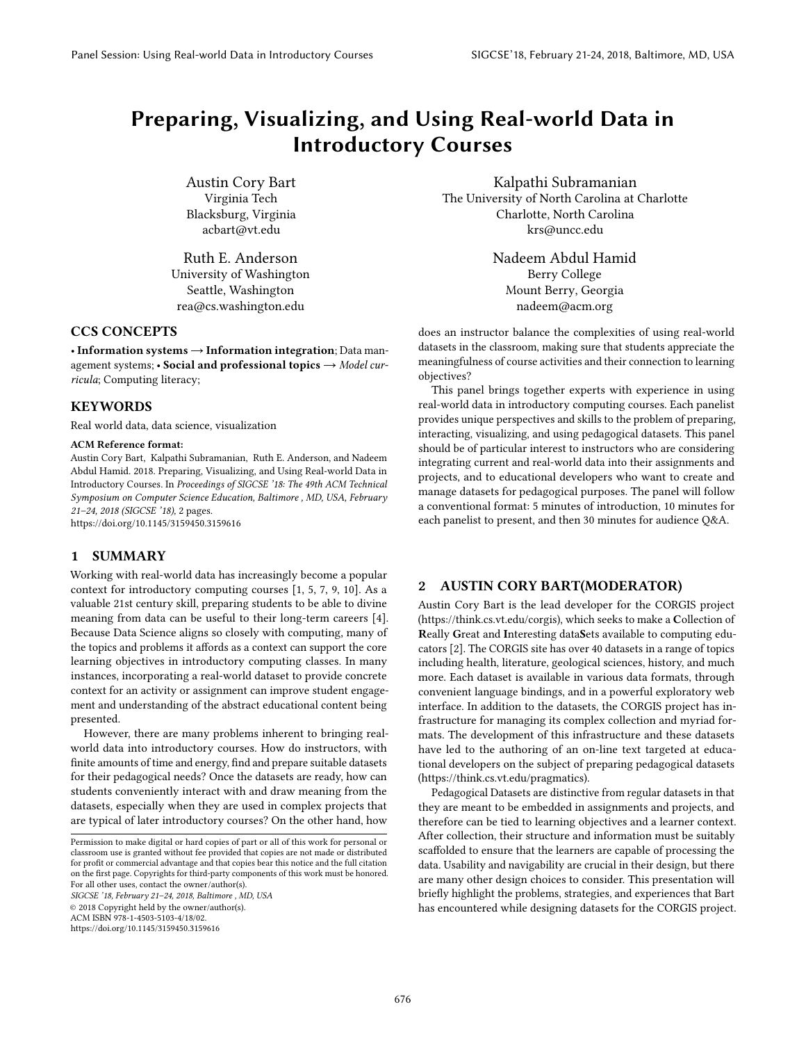# Preparing, Visualizing, and Using Real-world Data in Introductory Courses

Austin Cory Bart Virginia Tech Blacksburg, Virginia acbart@vt.edu

Ruth E. Anderson University of Washington Seattle, Washington rea@cs.washington.edu

# CCS CONCEPTS

• Information systems  $\rightarrow$  Information integration; Data management systems; • Social and professional topics  $\rightarrow$  Model curricula; Computing literacy;

# KEYWORDS

Real world data, data science, visualization

#### ACM Reference format:

Austin Cory Bart, Kalpathi Subramanian, Ruth E. Anderson, and Nadeem Abdul Hamid. 2018. Preparing, Visualizing, and Using Real-world Data in Introductory Courses. In Proceedings of SIGCSE '18: The 49th ACM Technical Symposium on Computer Science Education, Baltimore , MD, USA, February 21–24, 2018 (SIGCSE '18), [2](#page-1-0) pages.

<https://doi.org/10.1145/3159450.3159616>

# 1 SUMMARY

Working with real-world data has increasingly become a popular context for introductory computing courses [\[1,](#page-1-1) [5,](#page-1-2) [7,](#page-1-3) [9,](#page-1-4) [10\]](#page-1-5). As a valuable 21st century skill, preparing students to be able to divine meaning from data can be useful to their long-term careers [\[4\]](#page-1-6). Because Data Science aligns so closely with computing, many of the topics and problems it affords as a context can support the core learning objectives in introductory computing classes. In many instances, incorporating a real-world dataset to provide concrete context for an activity or assignment can improve student engagement and understanding of the abstract educational content being presented.

However, there are many problems inherent to bringing realworld data into introductory courses. How do instructors, with finite amounts of time and energy, find and prepare suitable datasets for their pedagogical needs? Once the datasets are ready, how can students conveniently interact with and draw meaning from the datasets, especially when they are used in complex projects that are typical of later introductory courses? On the other hand, how

SIGCSE '18, February 21–24, 2018, Baltimore , MD, USA © 2018 Copyright held by the owner/author(s). ACM ISBN 978-1-4503-5103-4/18/02.

<https://doi.org/10.1145/3159450.3159616>

Kalpathi Subramanian The University of North Carolina at Charlotte Charlotte, North Carolina krs@uncc.edu

> Nadeem Abdul Hamid Berry College Mount Berry, Georgia nadeem@acm.org

does an instructor balance the complexities of using real-world datasets in the classroom, making sure that students appreciate the meaningfulness of course activities and their connection to learning objectives?

This panel brings together experts with experience in using real-world data in introductory computing courses. Each panelist provides unique perspectives and skills to the problem of preparing, interacting, visualizing, and using pedagogical datasets. This panel should be of particular interest to instructors who are considering integrating current and real-world data into their assignments and projects, and to educational developers who want to create and manage datasets for pedagogical purposes. The panel will follow a conventional format: 5 minutes of introduction, 10 minutes for each panelist to present, and then 30 minutes for audience Q&A.

### 2 AUSTIN CORY BART(MODERATOR)

Austin Cory Bart is the lead developer for the CORGIS project [\(https://think.cs.vt.edu/corgis\)](https://think.cs.vt.edu/corgis), which seeks to make a Collection of Really Great and Interesting dataSets available to computing educators [\[2\]](#page-1-7). The CORGIS site has over 40 datasets in a range of topics including health, literature, geological sciences, history, and much more. Each dataset is available in various data formats, through convenient language bindings, and in a powerful exploratory web interface. In addition to the datasets, the CORGIS project has infrastructure for managing its complex collection and myriad formats. The development of this infrastructure and these datasets have led to the authoring of an on-line text targeted at educational developers on the subject of preparing pedagogical datasets [\(https://think.cs.vt.edu/pragmatics\)](https://think.cs.vt.edu/pragmatics).

Pedagogical Datasets are distinctive from regular datasets in that they are meant to be embedded in assignments and projects, and therefore can be tied to learning objectives and a learner context. After collection, their structure and information must be suitably scaffolded to ensure that the learners are capable of processing the data. Usability and navigability are crucial in their design, but there are many other design choices to consider. This presentation will briefly highlight the problems, strategies, and experiences that Bart has encountered while designing datasets for the CORGIS project.

Permission to make digital or hard copies of part or all of this work for personal or classroom use is granted without fee provided that copies are not made or distributed for profit or commercial advantage and that copies bear this notice and the full citation on the first page. Copyrights for third-party components of this work must be honored. For all other uses, contact the owner/author(s).